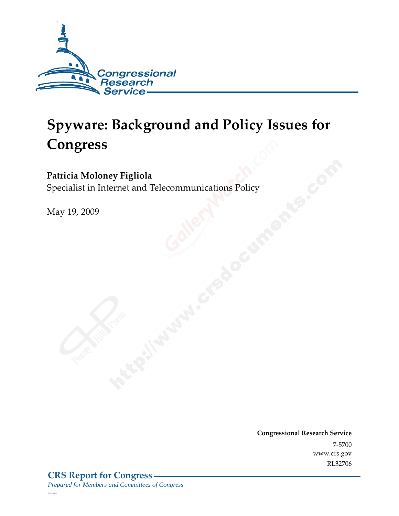

# **Spyware: Background and Policy Issues for Congress**

### **Patricia Moloney Figliola**

Specialist in Internet and Telecommunications Policy

May 19, 2009

**Congressional Research Service** 7-5700 www.crs.gov RL32706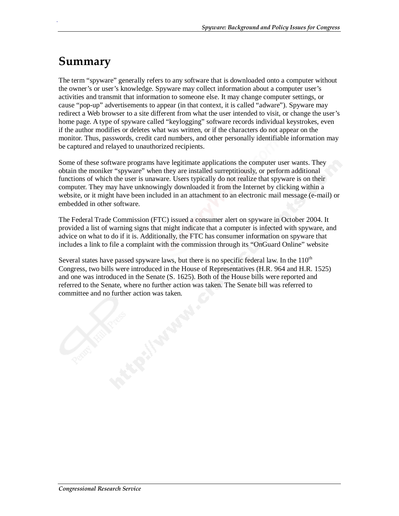# **Summary**

.

The term "spyware" generally refers to any software that is downloaded onto a computer without the owner's or user's knowledge. Spyware may collect information about a computer user's activities and transmit that information to someone else. It may change computer settings, or cause "pop-up" advertisements to appear (in that context, it is called "adware"). Spyware may redirect a Web browser to a site different from what the user intended to visit, or change the user's home page. A type of spyware called "keylogging" software records individual keystrokes, even if the author modifies or deletes what was written, or if the characters do not appear on the monitor. Thus, passwords, credit card numbers, and other personally identifiable information may be captured and relayed to unauthorized recipients.

Some of these software programs have legitimate applications the computer user wants. They obtain the moniker "spyware" when they are installed surreptitiously, or perform additional functions of which the user is unaware. Users typically do not realize that spyware is on their computer. They may have unknowingly downloaded it from the Internet by clicking within a website, or it might have been included in an attachment to an electronic mail message (e-mail) or embedded in other software.

The Federal Trade Commission (FTC) issued a consumer alert on spyware in October 2004. It provided a list of warning signs that might indicate that a computer is infected with spyware, and advice on what to do if it is. Additionally, the FTC has consumer information on spyware that includes a link to file a complaint with the commission through its "OnGuard Online" website

Several states have passed spyware laws, but there is no specific federal law. In the  $110<sup>th</sup>$ Congress, two bills were introduced in the House of Representatives (H.R. 964 and H.R. 1525) and one was introduced in the Senate (S. 1625). Both of the House bills were reported and referred to the Senate, where no further action was taken. The Senate bill was referred to committee and no further action was taken.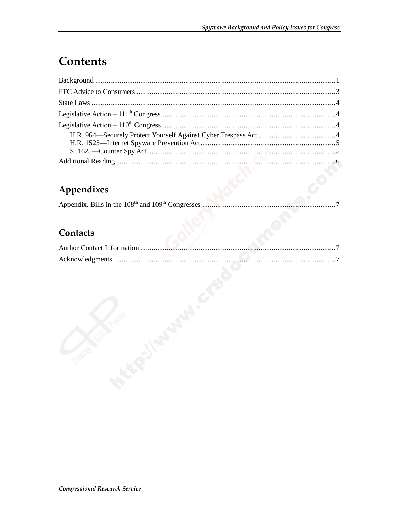# **Contents**

| $\begin{minipage}[c]{0.9\linewidth} Additional Reading \begin{minipage}[c]{0.9\linewidth} .00000 & \multicolumn{3}{c}{\textbf{Additional Reading}} \end{minipage} \end{minipage}$ |  |
|-----------------------------------------------------------------------------------------------------------------------------------------------------------------------------------|--|
|                                                                                                                                                                                   |  |

### Appendixes

|--|--|

### **Contacts**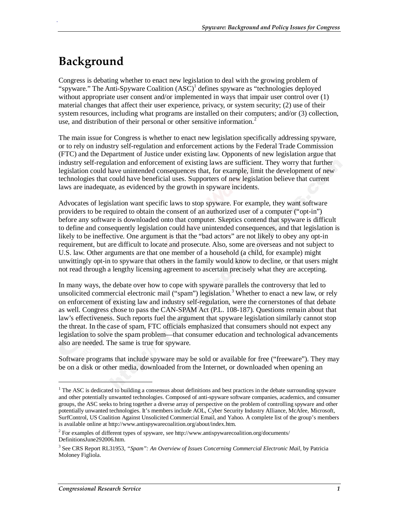# **Background**

.

Congress is debating whether to enact new legislation to deal with the growing problem of "spyware." The Anti-Spyware Coalition (ASC)<sup>1</sup> defines spyware as "technologies deployed without appropriate user consent and/or implemented in ways that impair user control over (1) material changes that affect their user experience, privacy, or system security; (2) use of their system resources, including what programs are installed on their computers; and/or (3) collection, use, and distribution of their personal or other sensitive information.<sup>2</sup>

The main issue for Congress is whether to enact new legislation specifically addressing spyware, or to rely on industry self-regulation and enforcement actions by the Federal Trade Commission (FTC) and the Department of Justice under existing law. Opponents of new legislation argue that industry self-regulation and enforcement of existing laws are sufficient. They worry that further legislation could have unintended consequences that, for example, limit the development of new technologies that could have beneficial uses. Supporters of new legislation believe that current laws are inadequate, as evidenced by the growth in spyware incidents.

Advocates of legislation want specific laws to stop spyware. For example, they want software providers to be required to obtain the consent of an authorized user of a computer ("opt-in") before any software is downloaded onto that computer. Skeptics contend that spyware is difficult to define and consequently legislation could have unintended consequences, and that legislation is likely to be ineffective. One argument is that the "bad actors" are not likely to obey any opt-in requirement, but are difficult to locate and prosecute. Also, some are overseas and not subject to U.S. law. Other arguments are that one member of a household (a child, for example) might unwittingly opt-in to spyware that others in the family would know to decline, or that users might not read through a lengthy licensing agreement to ascertain precisely what they are accepting.

In many ways, the debate over how to cope with spyware parallels the controversy that led to unsolicited commercial electronic mail ("spam") legislation.<sup>3</sup> Whether to enact a new law, or rely on enforcement of existing law and industry self-regulation, were the cornerstones of that debate as well. Congress chose to pass the CAN-SPAM Act (P.L. 108-187). Questions remain about that law's effectiveness. Such reports fuel the argument that spyware legislation similarly cannot stop the threat. In the case of spam, FTC officials emphasized that consumers should not expect any legislation to solve the spam problem—that consumer education and technological advancements also are needed. The same is true for spyware.

Software programs that include spyware may be sold or available for free ("freeware"). They may be on a disk or other media, downloaded from the Internet, or downloaded when opening an

1

 $1$  The ASC is dedicated to building a consensus about definitions and best practices in the debate surrounding spyware and other potentially unwanted technologies. Composed of anti-spyware software companies, academics, and consumer groups, the ASC seeks to bring together a diverse array of perspective on the problem of controlling spyware and other potentially unwanted technologies. It's members include AOL, Cyber Security Industry Alliance, McAfee, Microsoft, SurfControl, US Coalition Against Unsolicited Commercial Email, and Yahoo. A complete list of the group's members is available online at http://www.antispywarecoalition.org/about/index.htm.

<sup>&</sup>lt;sup>2</sup> For examples of different types of spyware, see http://www.antispywarecoalition.org/documents/ DefinitionsJune292006.htm.

<sup>3</sup> See CRS Report RL31953, *"Spam": An Overview of Issues Concerning Commercial Electronic Mail*, by Patricia Moloney Figliola.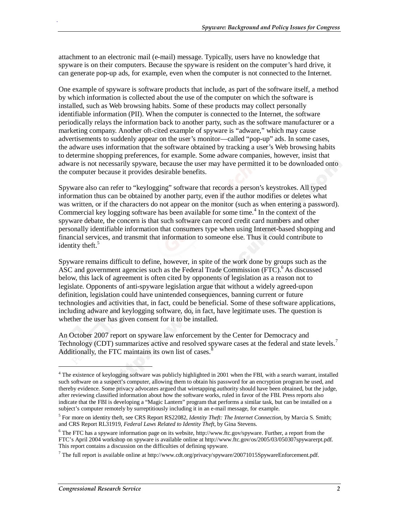attachment to an electronic mail (e-mail) message. Typically, users have no knowledge that spyware is on their computers. Because the spyware is resident on the computer's hard drive, it can generate pop-up ads, for example, even when the computer is not connected to the Internet.

One example of spyware is software products that include, as part of the software itself, a method by which information is collected about the use of the computer on which the software is installed, such as Web browsing habits. Some of these products may collect personally identifiable information (PII). When the computer is connected to the Internet, the software periodically relays the information back to another party, such as the software manufacturer or a marketing company. Another oft-cited example of spyware is "adware," which may cause advertisements to suddenly appear on the user's monitor—called "pop-up" ads. In some cases, the adware uses information that the software obtained by tracking a user's Web browsing habits to determine shopping preferences, for example. Some adware companies, however, insist that adware is not necessarily spyware, because the user may have permitted it to be downloaded onto the computer because it provides desirable benefits.

Spyware also can refer to "keylogging" software that records a person's keystrokes. All typed information thus can be obtained by another party, even if the author modifies or deletes what was written, or if the characters do not appear on the monitor (such as when entering a password). Commercial key logging software has been available for some time.<sup>4</sup> In the context of the spyware debate, the concern is that such software can record credit card numbers and other personally identifiable information that consumers type when using Internet-based shopping and financial services, and transmit that information to someone else. Thus it could contribute to identity theft.<sup>5</sup>

Spyware remains difficult to define, however, in spite of the work done by groups such as the ASC and government agencies such as the Federal Trade Commission (FTC).<sup>6</sup> As discussed below, this lack of agreement is often cited by opponents of legislation as a reason not to legislate. Opponents of anti-spyware legislation argue that without a widely agreed-upon definition, legislation could have unintended consequences, banning current or future technologies and activities that, in fact, could be beneficial. Some of these software applications, including adware and keylogging software, do, in fact, have legitimate uses. The question is whether the user has given consent for it to be installed.

An October 2007 report on spyware law enforcement by the Center for Democracy and Technology (CDT) summarizes active and resolved spyware cases at the federal and state levels.<sup>7</sup> Additionally, the FTC maintains its own list of cases.<sup>8</sup>

**.** 

.

<sup>&</sup>lt;sup>4</sup> The existence of keylogging software was publicly highlighted in 2001 when the FBI, with a search warrant, installed such software on a suspect's computer, allowing them to obtain his password for an encryption program he used, and thereby evidence. Some privacy advocates argued that wiretapping authority should have been obtained, but the judge, after reviewing classified information about how the software works, ruled in favor of the FBI. Press reports also indicate that the FBI is developing a "Magic Lantern" program that performs a similar task, but can be installed on a subject's computer remotely by surreptitiously including it in an e-mail message, for example.

<sup>5</sup> For more on identity theft, see CRS Report RS22082, *Identity Theft: The Internet Connection*, by Marcia S. Smith; and CRS Report RL31919, *Federal Laws Related to Identity Theft*, by Gina Stevens.

<sup>&</sup>lt;sup>6</sup> The FTC has a spyware information page on its website, http://www.ftc.gov/spyware. Further, a report from the FTC's April 2004 workshop on spyware is available online at http://www.ftc.gov/os/2005/03/050307spywarerpt.pdf. This report contains a discussion on the difficulties of defining spyware.

<sup>&</sup>lt;sup>7</sup> The full report is available online at http://www.cdt.org/privacy/spyware/20071015SpywareEnforcement.pdf.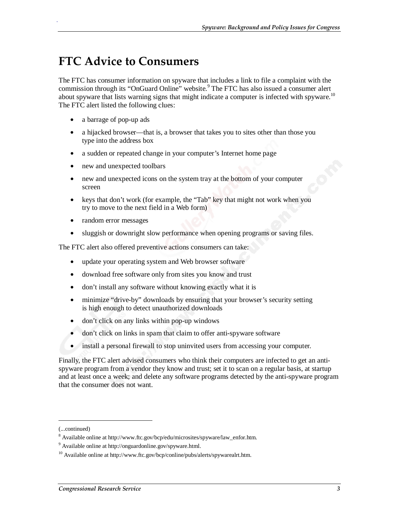### **FTC Advice to Consumers**

The FTC has consumer information on spyware that includes a link to file a complaint with the commission through its "OnGuard Online" website.<sup>9</sup> The FTC has also issued a consumer alert about spyware that lists warning signs that might indicate a computer is infected with spyware.<sup>10</sup> The FTC alert listed the following clues:

a barrage of pop-up ads

.

- a hijacked browser—that is, a browser that takes you to sites other than those you type into the address box
- a sudden or repeated change in your computer's Internet home page
- new and unexpected toolbars
- new and unexpected icons on the system tray at the bottom of your computer screen
- keys that don't work (for example, the "Tab" key that might not work when you try to move to the next field in a Web form)
- random error messages
- sluggish or downright slow performance when opening programs or saving files.

The FTC alert also offered preventive actions consumers can take:

- update your operating system and Web browser software
- download free software only from sites you know and trust
- don't install any software without knowing exactly what it is
- minimize "drive-by" downloads by ensuring that your browser's security setting is high enough to detect unauthorized downloads
- don't click on any links within pop-up windows
- don't click on links in spam that claim to offer anti-spyware software
- install a personal firewall to stop uninvited users from accessing your computer.

Finally, the FTC alert advised consumers who think their computers are infected to get an antispyware program from a vendor they know and trust; set it to scan on a regular basis, at startup and at least once a week; and delete any software programs detected by the anti-spyware program that the consumer does not want.

<u>.</u>

<sup>(...</sup>continued)

<sup>&</sup>lt;sup>8</sup> Available online at http://www.ftc.gov/bcp/edu/microsites/spyware/law\_enfor.htm.

<sup>9</sup> Available online at http://onguardonline.gov/spyware.html.

 $10$  Available online at http://www.ftc.gov/bcp/conline/pubs/alerts/spywarealrt.htm.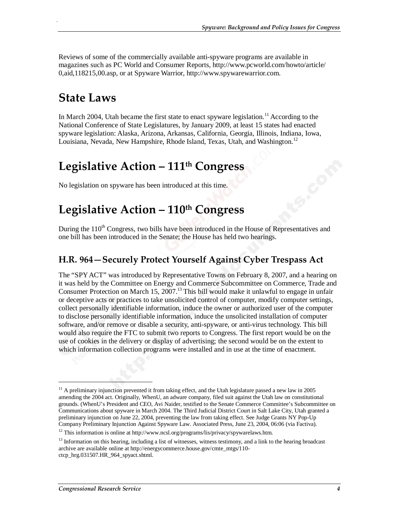Reviews of some of the commercially available anti-spyware programs are available in magazines such as PC World and Consumer Reports, http://www.pcworld.com/howto/article/ 0,aid,118215,00.asp, or at Spyware Warrior, http://www.spywarewarrior.com.

### **State Laws**

.

In March 2004, Utah became the first state to enact spyware legislation.<sup>11</sup> According to the National Conference of State Legislatures, by January 2009, at least 15 states had enacted spyware legislation: Alaska, Arizona, Arkansas, California, Georgia, Illinois, Indiana, Iowa, Louisiana, Nevada, New Hampshire, Rhode Island, Texas, Utah, and Washington.<sup>12</sup>

### **Legislative Action – 111th Congress**

No legislation on spyware has been introduced at this time.

### Legislative Action - 110<sup>th</sup> Congress

During the 110<sup>th</sup> Congress, two bills have been introduced in the House of Representatives and one bill has been introduced in the Senate; the House has held two hearings.

#### **H.R. 964—Securely Protect Yourself Against Cyber Trespass Act**

The "SPY ACT" was introduced by Representative Towns on February 8, 2007, and a hearing on it was held by the Committee on Energy and Commerce Subcommittee on Commerce, Trade and Consumer Protection on March 15, 2007.<sup>13</sup> This bill would make it unlawful to engage in unfair or deceptive acts or practices to take unsolicited control of computer, modify computer settings, collect personally identifiable information, induce the owner or authorized user of the computer to disclose personally identifiable information, induce the unsolicited installation of computer software, and/or remove or disable a security, anti-spyware, or anti-virus technology. This bill would also require the FTC to submit two reports to Congress. The first report would be on the use of cookies in the delivery or display of advertising; the second would be on the extent to which information collection programs were installed and in use at the time of enactment.

1

 $11$  A preliminary injunction prevented it from taking effect, and the Utah legislature passed a new law in 2005 amending the 2004 act. Originally, WhenU, an adware company, filed suit against the Utah law on constitutional grounds. (WhenU's President and CEO, Avi Naider, testified to the Senate Commerce Committee's Subcommittee on Communications about spyware in March 2004. The Third Judicial District Court in Salt Lake City, Utah granted a preliminary injunction on June 22, 2004, preventing the law from taking effect. See Judge Grants NY Pop-Up Company Preliminary Injunction Against Spyware Law. Associated Press, June 23, 2004, 06:06 (via Factiva).

<sup>&</sup>lt;sup>12</sup> This information is online at http://www.ncsl.org/programs/lis/privacy/spywarelaws.htm.

<sup>&</sup>lt;sup>13</sup> Information on this hearing, including a list of witnesses, witness testimony, and a link to the hearing broadcast archive are available online at http://energycommerce.house.gov/cmte\_mtgs/110 ctcp\_hrg.031507.HR\_964\_spyact.shtml.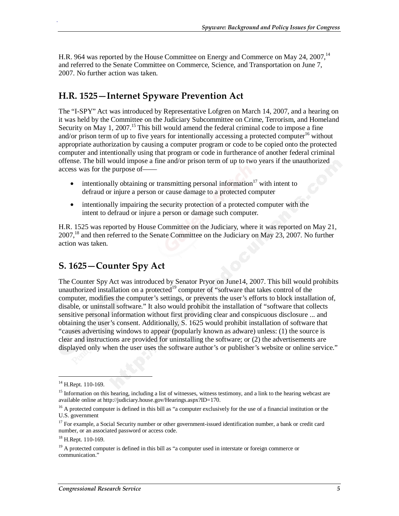H.R. 964 was reported by the House Committee on Energy and Commerce on May 24, 2007,  $14$ and referred to the Senate Committee on Commerce, Science, and Transportation on June 7, 2007. No further action was taken.

### **H.R. 1525—Internet Spyware Prevention Act**

The "I-SPY" Act was introduced by Representative Lofgren on March 14, 2007, and a hearing on it was held by the Committee on the Judiciary Subcommittee on Crime, Terrorism, and Homeland Security on May 1, 2007.<sup>15</sup> This bill would amend the federal criminal code to impose a fine and/or prison term of up to five years for intentionally accessing a protected computer<sup>16</sup> without appropriate authorization by causing a computer program or code to be copied onto the protected computer and intentionally using that program or code in furtherance of another federal criminal offense. The bill would impose a fine and/or prison term of up to two years if the unauthorized access was for the purpose of——

- intentionally obtaining or transmitting personal information<sup>17</sup> with intent to defraud or injure a person or cause damage to a protected computer
- intentionally impairing the security protection of a protected computer with the intent to defraud or injure a person or damage such computer.

H.R. 1525 was reported by House Committee on the Judiciary, where it was reported on May 21,  $2007<sup>18</sup>$  and then referred to the Senate Committee on the Judiciary on May 23, 2007. No further action was taken.

#### **S. 1625—Counter Spy Act**

The Counter Spy Act was introduced by Senator Pryor on June14, 2007. This bill would prohibits unauthorized installation on a protected<sup>19</sup> computer of "software that takes control of the computer, modifies the computer's settings, or prevents the user's efforts to block installation of, disable, or uninstall software." It also would prohibit the installation of "software that collects sensitive personal information without first providing clear and conspicuous disclosure ... and obtaining the user's consent. Additionally, S. 1625 would prohibit installation of software that "causes advertising windows to appear (popularly known as adware) unless: (1) the source is clear and instructions are provided for uninstalling the software; or (2) the advertisements are displayed only when the user uses the software author's or publisher's website or online service."

1

.

<sup>&</sup>lt;sup>14</sup> H.Rept. 110-169.

<sup>&</sup>lt;sup>15</sup> Information on this hearing, including a list of witnesses, witness testimony, and a link to the hearing webcast are available online at http://judiciary.house.gov/Hearings.aspx?ID=170.

<sup>&</sup>lt;sup>16</sup> A protected computer is defined in this bill as "a computer exclusively for the use of a financial institution or the U.S. government

 $17$  For example, a Social Security number or other government-issued identification number, a bank or credit card number, or an associated password or access code.

<sup>18</sup> H.Rept. 110-169.

<sup>&</sup>lt;sup>19</sup> A protected computer is defined in this bill as "a computer used in interstate or foreign commerce or communication."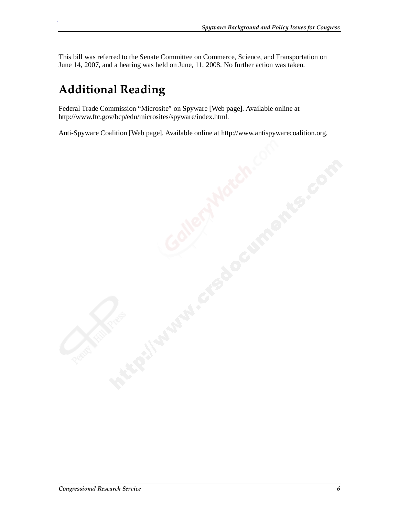This bill was referred to the Senate Committee on Commerce, Science, and Transportation on June 14, 2007, and a hearing was held on June, 11, 2008. No further action was taken.

# **Additional Reading**

.

Federal Trade Commission "Microsite" on Spyware [Web page]. Available online at http://www.ftc.gov/bcp/edu/microsites/spyware/index.html.

Anti-Spyware Coalition [Web page]. Available online at http://www.antispywarecoalition.org.